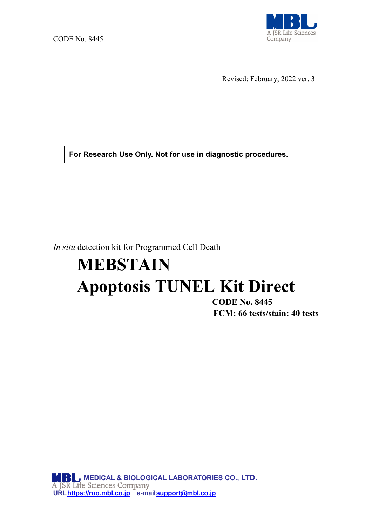

Revised: February, 2022 ver. 3

**For Research Use Only. Not for use in diagnostic procedures.**

*In situ* detection kit for Programmed Cell Death

# **MEBSTAIN Apoptosis TUNEL Kit Direct**

**CODE No. 8445 FCM: 66 tests/stain: 40 tests**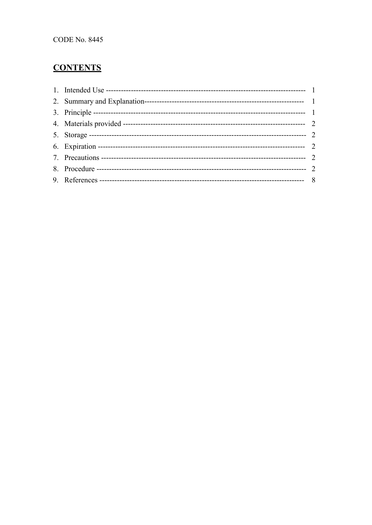## **CONTENTS**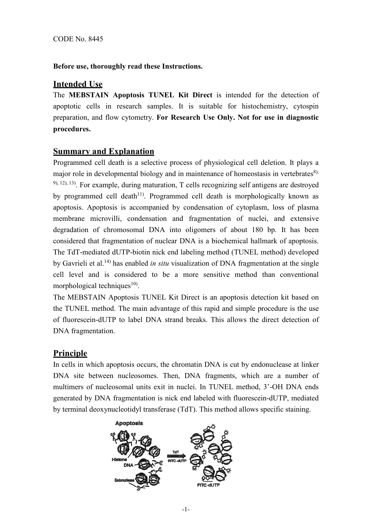## **Before use, thoroughly read these Instructions.**

## **Intended Use**

The **MEBSTAIN Apoptosis TUNEL Kit Direct** is intended for the detection of apoptotic cells in research samples. It is suitable for histochemistry, cytospin preparation, and flow cytometry. **For Research Use Only. Not for use in diagnostic procedures.**

## **Summary and Explanation**

Programmed cell death is a selective process of physiological cell deletion. It plays a major role in developmental biology and in maintenance of homeostasis in vertebrates $\delta$ ),  $9$ ,  $12$ ),  $13$ ). For example, during maturation, T cells recognizing self antigens are destroyed by programmed cell death<sup>11)</sup>. Programmed cell death is morphologically known as apoptosis. Apoptosis is accompanied by condensation of cytoplasm, loss of plasma membrane microvilli, condensation and fragmentation of nuclei, and extensive degradation of chromosomal DNA into oligomers of about 180 bp. It has been considered that fragmentation of nuclear DNA is a biochemical hallmark of apoptosis. The TdT-mediated dUTP-biotin nick end labeling method (TUNEL method) developed by Gavrieli et al.14) has enabled *in situ* visualization of DNA fragmentation at the single cell level and is considered to be a more sensitive method than conventional morphological techniques $^{10}$ .

The MEBSTAIN Apoptosis TUNEL Kit Direct is an apoptosis detection kit based on the TUNEL method. The main advantage of this rapid and simple procedure is the use of fluorescein-dUTP to label DNA strand breaks. This allows the direct detection of DNA fragmentation.

## **Principle**

In cells in which apoptosis occurs, the chromatin DNA is cut by endonuclease at linker DNA site between nucleosomes. Then, DNA fragments, which are a number of multimers of nucleosomal units exit in nuclei. In TUNEL method, 3'-OH DNA ends generated by DNA fragmentation is nick end labeled with fluorescein-dUTP, mediated by terminal deoxynucleotidyl transferase (TdT). This method allows specific staining.

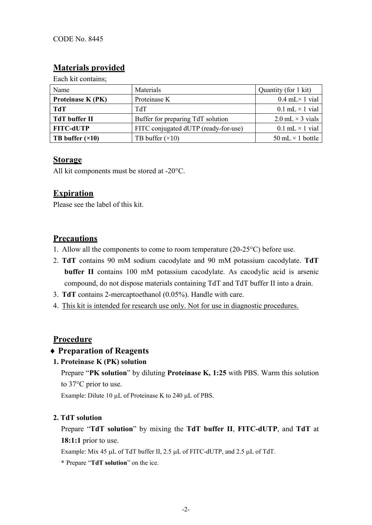## **Materials provided**

Each kit contains;

| Name                     | Materials                            | Quantity (for 1 kit)     |
|--------------------------|--------------------------------------|--------------------------|
| <b>Proteinase K (PK)</b> | Proteinase K                         | $0.4$ mL $\times$ 1 vial |
| TdT                      | <b>TdT</b>                           | $0.1$ mL $\times$ 1 vial |
| <b>TdT</b> buffer II     | Buffer for preparing TdT solution    | 2.0 mL $\times$ 3 vials  |
| <b>FITC-dUTP</b>         | FITC conjugated dUTP (ready-for-use) | $0.1$ mL $\times$ 1 vial |
| TB buffer $(\times 10)$  | TB buffer $(\times 10)$              | 50 mL $\times$ 1 bottle  |

## **Storage**

All kit components must be stored at -20°C.

## **Expiration**

Please see the label of this kit.

## **Precautions**

- 1. Allow all the components to come to room temperature  $(20-25^{\circ}C)$  before use.
- 2. **TdT** contains 90 mM sodium cacodylate and 90 mM potassium cacodylate. **TdT buffer II** contains 100 mM potassium cacodylate. As cacodylic acid is arsenic compound, do not dispose materials containing TdT and TdT buffer II into a drain.
- 3. **TdT** contains 2-mercaptoethanol (0.05%). Handle with care.
- 4. This kit is intended for research use only. Not for use in diagnostic procedures.

## **Procedure**

## ♦ **Preparation of Reagents**

## **1. Proteinase K (PK) solution**

Prepare "**PK solution**" by diluting **Proteinase K, 1:25** with PBS. Warm this solution to 37°C prior to use.

Example: Dilute 10 µL of Proteinase K to 240 µL of PBS.

## **2. TdT solution**

Prepare "**TdT solution**" by mixing the **TdT buffer II**, **FITC-dUTP**, and **TdT** at **18:1:1** prior to use.

Example: Mix 45 µL of TdT buffer II, 2.5 µL of FITC-dUTP, and 2.5 µL of TdT.

**\*** Prepare "**TdT solution**" on the ice.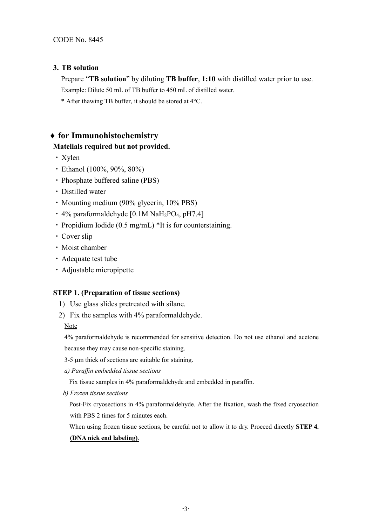## **3. TB solution**

Prepare "**TB solution**" by diluting **TB buffer**, **1:10** with distilled water prior to use.

Example: Dilute 50 mL of TB buffer to 450 mL of distilled water.

\* After thawing TB buffer, it should be stored at 4°C.

## ♦ **for Immunohistochemistry**

## **Matelials required but not provided.**

- ・Xylen
- ・Ethanol (100%, 90%, 80%)
- ・Phosphate buffered saline (PBS)
- ・Distilled water
- ・Mounting medium (90% glycerin, 10% PBS)
- ・4% paraformaldehyde [0.1M NaH2PO4, pH7.4]
- Propidium Iodide (0.5 mg/mL) \*It is for counterstaining.
- ・Cover slip
- ・Moist chamber
- ・Adequate test tube
- ・Adjustable micropipette

## **STEP 1. (Preparation of tissue sections)**

- 1) Use glass slides pretreated with silane.
- 2) Fix the samples with 4% paraformaldehyde.

Note

4% paraformaldehyde is recommended for sensitive detection. Do not use ethanol and acetone

because they may cause non-specific staining.

- 3-5 µm thick of sections are suitable for staining.
- *a) Paraffin embedded tissue sections*

Fix tissue samples in 4% paraformaldehyde and embedded in paraffin.

*b) Frozen tissue sections*

Post-Fix cryosections in 4% paraformaldehyde. After the fixation, wash the fixed cryosection with PBS 2 times for 5 minutes each.

When using frozen tissue sections, be careful not to allow it to dry. Proceed directly **STEP 4. (DNA nick end labeling)**.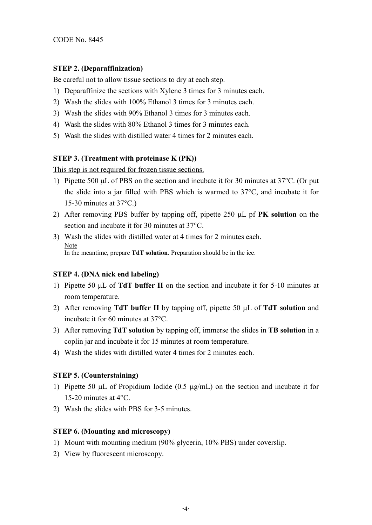## **STEP 2. (Deparaffinization)**

Be careful not to allow tissue sections to dry at each step.

- 1) Deparaffinize the sections with Xylene 3 times for 3 minutes each.
- 2) Wash the slides with 100% Ethanol 3 times for 3 minutes each.
- 3) Wash the slides with 90% Ethanol 3 times for 3 minutes each.
- 4) Wash the slides with 80% Ethanol 3 times for 3 minutes each.
- 5) Wash the slides with distilled water 4 times for 2 minutes each.

## **STEP 3. (Treatment with proteinase K (PK))**

This step is not required for frozen tissue sections.

- 1) Pipette 500 µL of PBS on the section and incubate it for 30 minutes at 37°C. (Or put the slide into a jar filled with PBS which is warmed to 37°C, and incubate it for 15-30 minutes at  $37^{\circ}$ C.)
- 2) After removing PBS buffer by tapping off, pipette 250 µL pf **PK solution** on the section and incubate it for 30 minutes at 37°C.
- 3) Wash the slides with distilled water at 4 times for 2 minutes each. Note In the meantime, prepare **TdT solution**. Preparation should be in the ice.

## **STEP 4. (DNA nick end labeling)**

- 1) Pipette 50 µL of **TdT buffer II** on the section and incubate it for 5-10 minutes at room temperature.
- 2) After removing **TdT buffer II** by tapping off, pipette 50 µL of **TdT solution** and incubate it for 60 minutes at 37°C.
- 3) After removing **TdT solution** by tapping off, immerse the slides in **TB solution** in a coplin jar and incubate it for 15 minutes at room temperature.
- 4) Wash the slides with distilled water 4 times for 2 minutes each.

## **STEP 5. (Counterstaining)**

- 1) Pipette 50  $\mu$ L of Propidium Iodide (0.5  $\mu$ g/mL) on the section and incubate it for 15-20 minutes at 4°C.
- 2) Wash the slides with PBS for 3-5 minutes.

## **STEP 6. (Mounting and microscopy)**

- 1) Mount with mounting medium (90% glycerin, 10% PBS) under coverslip.
- 2) View by fluorescent microscopy.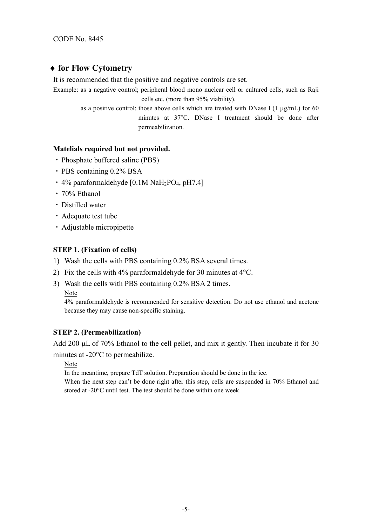## ♦ **for Flow Cytometry**

It is recommended that the positive and negative controls are set.

- Example: as a negative control; peripheral blood mono nuclear cell or cultured cells, such as Raji cells etc. (more than 95% viability).
	- as a positive control; those above cells which are treated with DNase I (1  $\mu$ g/mL) for 60 minutes at 37°C. DNase I treatment should be done after permeabilization.

## **Matelials required but not provided.**

- ・Phosphate buffered saline (PBS)
- ・PBS containing 0.2% BSA
- $\cdot$  4% paraformaldehyde [0.1M NaH<sub>2</sub>PO<sub>4</sub>, pH7.4]
- ・70% Ethanol
- ・Distilled water
- ・Adequate test tube
- ・Adjustable micropipette

## **STEP 1. (Fixation of cells)**

- 1) Wash the cells with PBS containing 0.2% BSA several times.
- 2) Fix the cells with 4% paraformaldehyde for 30 minutes at 4°C.
- 3) Wash the cells with PBS containing 0.2% BSA 2 times.

Note

4% paraformaldehyde is recommended for sensitive detection. Do not use ethanol and acetone because they may cause non-specific staining.

## **STEP 2. (Permeabilization)**

Add 200 µL of 70% Ethanol to the cell pellet, and mix it gently. Then incubate it for 30 minutes at -20°C to permeabilize.

Note

In the meantime, prepare TdT solution. Preparation should be done in the ice.

When the next step can't be done right after this step, cells are suspended in 70% Ethanol and stored at -20°C until test. The test should be done within one week.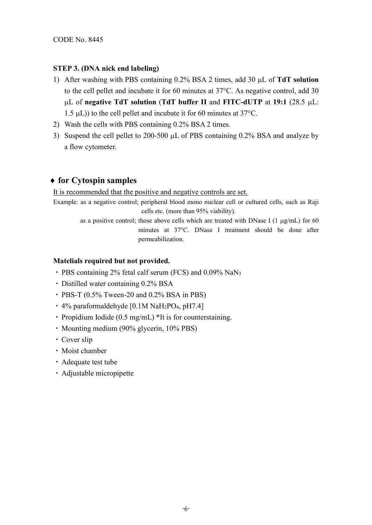## **STEP 3. (DNA nick end labeling)**

- 1) After washing with PBS containing 0.2% BSA 2 times, add 30 µL of **TdT solution** to the cell pellet and incubate it for 60 minutes at 37°C. As negative control, add 30 µL of **negative TdT solution** (**TdT buffer II** and **FITC-dUTP** at **19:1** (28.5 µL: 1.5 µL)) to the cell pellet and incubate it for 60 minutes at 37°C.
- 2) Wash the cells with PBS containing 0.2% BSA 2 times.
- 3) Suspend the cell pellet to 200-500 µL of PBS containing 0.2% BSA and analyze by a flow cytometer.

## ♦ **for Cytospin samples**

It is recommended that the positive and negative controls are set.

Example: as a negative control; peripheral blood mono nuclear cell or cultured cells, such as Raji cells etc. (more than 95% viability).

> as a positive control; those above cells which are treated with DNase I (1  $\mu$ g/mL) for 60 minutes at 37°C. DNase I treatment should be done after permeabilization.

## **Matelials required but not provided.**

- ・PBS containing 2% fetal calf serum (FCS) and 0.09% NaN3
- ・Distilled water containing 0.2% BSA
- $\cdot$  PBS-T (0.5% Tween-20 and 0.2% BSA in PBS)
- $\cdot$  4% paraformaldehyde [0.1M NaH<sub>2</sub>PO<sub>4</sub>, pH7.4]
- ・Propidium Iodide (0.5 mg/mL) \*It is for counterstaining.
- ・Mounting medium (90% glycerin, 10% PBS)
- ・Cover slip
- ・Moist chamber
- ・Adequate test tube
- ・Adjustable micropipette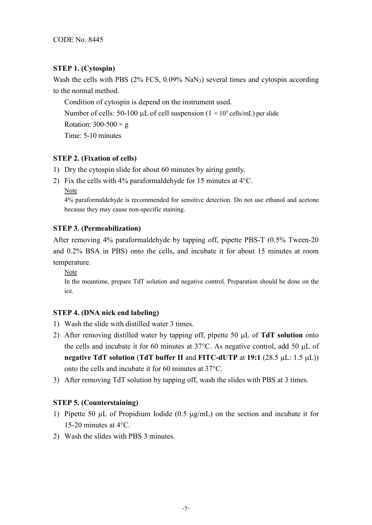## **STEP 1. (Cytospin)**

Wash the cells with PBS (2% FCS, 0.09% NaN3) several times and cytospin according to the normal method.

Condition of cytospin is depend on the instrument used. Number of cells: 50-100  $\mu$ L of cell suspension (1 × 10<sup>5</sup> cells/mL) per slide Rotation:  $300-500 \times g$ Time: 5-10 minutes

## **STEP 2. (Fixation of cells)**

- 1) Dry the cytospin slide for about 60 minutes by airing gently.
- 2) Fix the cells with 4% paraformaldehyde for 15 minutes at  $4^{\circ}$ C.
	- Note

4% paraformaldehyde is recommended for sensitive detection. Do not use ethanol and acetone because they may cause non-specific staining.

## **STEP 3. (Permeabilization)**

After removing 4% paraformaldehyde by tapping off, pipette PBS-T (0.5% Tween-20 and 0.2% BSA in PBS) onto the cells, and incubate it for about 15 minutes at room temperature.

Note

In the meantime, prepare TdT solution and negative control. Preparation should be done on the ice.

## **STEP 4. (DNA nick end labeling)**

- 1) Wash the slide with distilled water 3 times.
- 2) After removing distilled water by tapping off, pipette 50 µL of **TdT solution** onto the cells and incubate it for 60 minutes at  $37^{\circ}$ C. As negative control, add 50 µL of **negative TdT solution** (**TdT buffer II** and **FITC-dUTP** at **19:1** (28.5 µL: 1.5 µL)) onto the cells and incubate it for 60 minutes at 37°C.
- 3) After removing TdT solution by tapping off, wash the slides with PBS at 3 times.

## **STEP 5. (Counterstaining)**

- 1) Pipette 50  $\mu$ L of Propidium Iodide (0.5  $\mu$ g/mL) on the section and incubate it for 15-20 minutes at 4°C.
- 2) Wash the slides with PBS 3 minutes.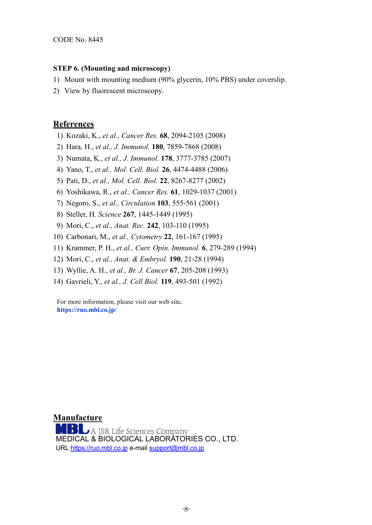#### **STEP 6. (Mounting and microscopy)**

- 1) Mount with mounting medium (90% glycerin, 10% PBS) under coverslip.
- 2) View by fluorescent microscopy.

## **References**

- 1) Kozaki, K., *et al., Cancer Res.* **68**, 2094-2105 (2008)
- 2) Hara, H., *et al., J. Immunol.* **180**, 7859-7868 (2008)
- 3) Numata, K., *et al., J. Immunol.* **178**, 3777-3785 (2007)
- 4) Yano, T., *et al., Mol. Cell. Biol.* **26**, 4474-4488 (2006)
- 5) Pati, D., *et al., Mol. Cell. Biol.* **22**, 8267-8277 (2002)
- 6) Yoshikawa, R., *et al., Cancer Res.* **61**, 1029-1037 (2001)
- 7) Negoro, S., *et al., Circulation* **103**, 555-561 (2001)
- 8) Steller, H. *Science* **267**, 1445-1449 (1995)
- 9) Mori, C., *et al., Anat. Rec.* **242**, 103-110 (1995)
- 10) Carbonari, M., *et al., Cytometry* **22**, 161-167 (1995)
- 11) Krammer, P. H., *et al., Curr. Opin. Immunol.* **6**, 279-289 (1994)
- 12) Mori, C., *et al., Anat. & Embryol.* **190**, 21-28 (1994)
- 13) Wyllie, A. H., *et al., Br. J. Cancer* **67**, 205-208 (1993)
- 14) Gavrieli, Y., *et al., J. Cell Biol.* **119**, 493-501 (1992)

For more information, please visit our web site**. https://ruo.mbl.co.jp/**

#### **Manufacture**

N A JSR Life Sciences Company MEDICAL & BIOLOGICAL LABORATORIES CO., LTD. URL [https://ruo.mbl.co.jp](https://ruo.mbl.co.jp/) e-mail [support@mbl.co.jp](mailto:support@mbl.co.jp)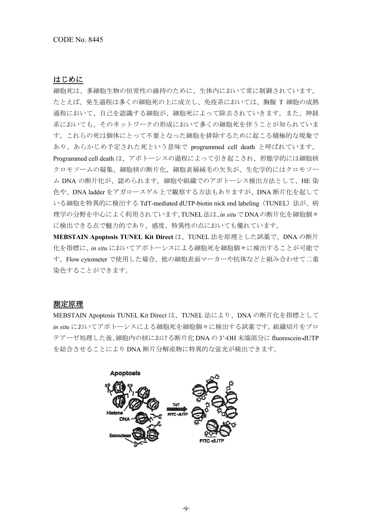#### はじめに

細胞死は、多細胞生物の恒常性の維持のために、生体内において常に制御されています。 たとえば、発生過程は多くの細胞死の上に成立し、免疫系においては、胸腺 T 細胞の成熟 過程において、自己を認識する細胞が、細胞死によって除去されていきます。また、神経 系においても、そのネットワークの形成において多くの細胞死を伴うことが知られていま す。これらの死は個体にとって不要となった細胞を排除するために起こる積極的な現象で あり、あらかじめ予定された死という意味で programmed cell death と呼ばれています。 Programmed cell death は、アポトーシスの過程によって引き起こされ、形態学的には細胞核 クロモソームの凝集、細胞核の断片化、細胞表層絨毛の欠失が、生化学的にはクロモソー ム DNA の断片化が、認められます。細胞や組織でのアポトーシス検出方法として、HE 染 色や、DNA ladder をアガロースゲル上で観察する方法もありますが、DNA 断片化を起して いる細胞を特異的に検出する TdT-mediated dUTP-biotin nick end labeling (TUNEL)法が、病 理学の分野を中心によく利用されています。TUNEL法は、*in situ*でDNAの断片化を細胞個々 に検出できる点で魅力的であり、感度、特異性の点においても優れています。

**MEBSTAIN Apoptosis TUNEL Kit Direct** は、TUNEL 法を原理とした試薬で、DNA の断片 化を指標に、*in situ* においてアポトーシスによる細胞死を細胞個々に検出することが可能で す。Flow cytometer で使用した場合、他の細胞表面マーカーや抗体などと組み合わせて二重 染色することができます。

#### 測定原理

MEBSTAIN Apoptosis TUNEL Kit Direct は、TUNEL 法により、DNA の断片化を指標として *in situ* においてアポトーシスによる細胞死を細胞個々に検出する試薬です。組織切片をプロ テアーゼ処理した後、細胞内の核における断片化 DNA の 3'-OH 末端部分に fluorescein-dUTP を結合させることにより DNA 断片分解産物に特異的な蛍光が検出できます。

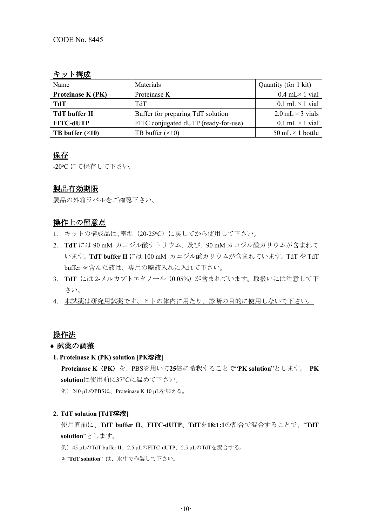## キット構成

| Name                           | Materials                            | Quantity (for 1 kit)     |
|--------------------------------|--------------------------------------|--------------------------|
| Proteinase K (PK)              | Proteinase K                         | $0.4$ mL $\times$ 1 vial |
| <b>TdT</b>                     | <b>ThT</b>                           | $0.1$ mL $\times$ 1 vial |
| TdT buffer II                  | Buffer for preparing TdT solution    | 2.0 mL $\times$ 3 vials  |
| <b>FITC-dUTP</b>               | FITC conjugated dUTP (ready-for-use) | $0.1$ mL $\times$ 1 vial |
| <b>TB</b> buffer $(\times 10)$ | TB buffer $(\times 10)$              | 50 mL $\times$ 1 bottle  |

## 保存

-20℃ にて保存して下さい。

## 製品有効期限

製品の外箱ラベルをご確認下さい。

## 操作上の留意点

- 1. キットの構成品は、室温 (20-25℃)に戻してから使用して下さい。
- 2. **TdT** には 90 mM カコジル酸ナトリウム、及び、90 mM カコジル酸カリウムが含まれて います。**TdT buffer II** には 100 mM カコジル酸カリウムが含まれています。TdT や TdT buffer を含んだ液は、専用の廃液入れに入れて下さい。
- 3. TdT には 2-メルカプトエタノール (0.05%) が含まれています。取扱いには注意して下 さい。
- 4. 本試薬は研究用試薬です。ヒトの体内に用たり、診断の目的に使用しないで下さい。

## 操作法

## ♦ 試薬の調整

**1. Proteinase K (PK) solution [PK**溶液**]**

**Proteinase K**(**PK**)を、PBSを用いて**25**倍に希釈することで"**PK solution**"とします。 **PK solution**は使用前に37°Cに温めて下さい。

例) 240 μLのPBSに、Proteinase K 10 μLを加える。

#### **2. TdT solution [TdT**溶液**]**

使用直前に、**TdT buffer II**、**FITC-dUTP**、**TdT**を**18:1:1**の割合で混合することで、"**TdT solution**"とします。

例)45 µLのTdT buffer II、2.5 µLのFITC-dUTP、2.5 µLのTdTを混合する。

\*"**TdT solution**" は、氷中で作製して下さい。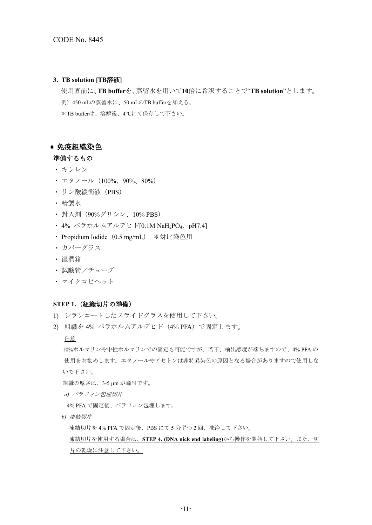#### **3. TB solution [TB**溶液**]**

使用直前に、**TB buffer**を、蒸留水を用いて**10**倍に希釈することで"**TB solution**"とします。 例)450 mLの蒸留水に、50 mLのTB bufferを加える。 \*TB bufferは、溶解後、4°Cにて保存して下さい。

#### ♦ 免疫組織染色

#### 準備するもの

- ・ キシレン
- エタノール (100%、90%、80%)
- · リン酸緩衝液 (PBS)
- ・ 精製水
- ・ 封入剤(90%グリシン、10% PBS)
- ・ 4% パラホルムアルデヒド[0.1M NaH2PO4、pH7.4]
- Propidium Iodide (0.5 mg/mL) \*対比染色用
- ・ カバーグラス
- ・ 湿潤箱
- ・ 試験管/チューブ
- ・ マイクロピペット

#### **STEP 1.**(組織切片の準備)

- 1) シランコートしたスライドグラスを使用して下さい。
- 2) 組織を 4% パラホルムアルデヒド(4% PFA)で固定します。

#### 注意

10%ホルマリンや中性ホルマリンでの固定も可能ですが、若干、検出感度が落ちますので、4% PFA の 使用をお勧めします。エタノールやアセトンは非特異染色の原因となる場合がありますので使用しな いで下さい。

組織の厚さは、3-5 µm が適当です。

*a)* パラフィン包埋切片

4% PFA で固定後、パラフィン包埋します。

*b)* 凍結切片

凍結切片を 4% PFA で固定後、PBS にて 5 分ずつ 2 回、洗浄して下さい。

凍結切片を使用する場合は、**STEP 4. (DNA nick end labeling)**から操作を開始して下さい。また、切 片の乾燥に注意して下さい。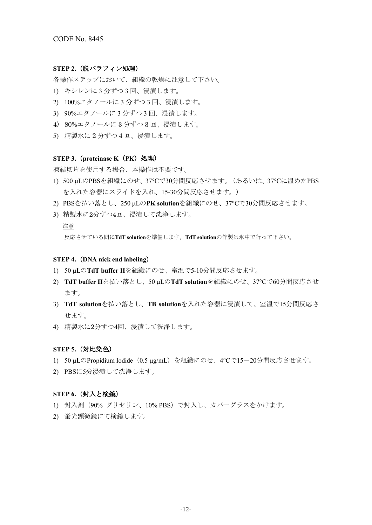#### **STEP 2.**(脱パラフィン処理)

各操作ステップにおいて、組織の乾燥に注意して下さい。

- 1) キシレンに 3 分ずつ 3 回、浸漬します。
- 2) 100%エタノールに 3 分ずつ 3 回、浸漬します。
- 3) 90%エタノールに 3 分ずつ 3 回、浸漬します。
- 4) 80%エタノールに 3 分ずつ 3 回、浸漬します。
- 5) 精製水に 2 分ずつ 4 回、浸漬します。

#### **STEP 3.**(**proteinase K**(**PK**)処理)

凍結切片を使用する場合、本操作は不要です。

- 1) 500 µLのPBSを組織にのせ、37°Cで30分間反応させます。(あるいは、37°Cに温めたPBS を入れた容器にスライドを入れ、15-30分間反応させます。)
- 2) PBSを払い落とし、250 µLの**PK solution**を組織にのせ、37°Cで30分間反応させます。
- 3) 精製水に2分ずつ4回、浸漬して洗浄します。

#### 注意

反応させている間に**TdT solution**を準備します。**TdT solution**の作製は氷中で行って下さい。

#### **STEP 4.**(**DNA nick end labeling**)

- 1) 50 µLの**TdT buffer II**を組織にのせ、室温で5-10分間反応させます。
- 2) **TdT buffer II**を払い落とし、50 µLの**TdT solution**を組織にのせ、37°Cで60分間反応させ ます。
- 3) **TdT solution**を払い落とし、**TB solution**を入れた容器に浸漬して、室温で15分間反応さ せます。
- 4) 精製水に2分ずつ4回、浸漬して洗浄します。

#### **STEP 5.**(対比染色)

- 1) 50 μLのPropidium Iodide (0.5 μg/mL) を組織にのせ、4℃で15-20分間反応させます。
- 2) PBSに5分浸漬して洗浄します。

#### **STEP 6.**(封入と検鏡)

- 1) 封入剤(90% グリセリン、10% PBS)で封入し、カバーグラスをかけます。
- 2) 蛍光顕微鏡にて検鏡します。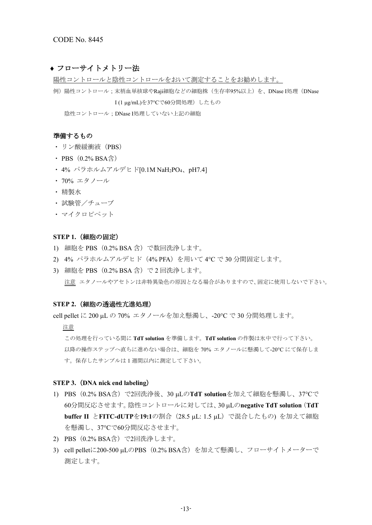#### ◆ フローサイトメトリー法

陽性コントロールと陰性コントロールをおいて測定することをお勧めします。

例)陽性コントロール;末梢血単核球やRaji細胞などの細胞株(生存率95%以上)を、DNase I処理(DNase I (1 µg/mL)を37°Cで60分間処理)したもの

陰性コントロール;DNase I処理していない上記の細胞

#### 準備するもの

- ・ リン酸緩衝液(PBS)
- PBS $(0.2% BSA\triangleq)$
- 4% パラホルムアルデヒド[0.1M NaH<sub>2</sub>PO<sub>4</sub>、pH7.4]
- ・ 70% エタノール
- ・ 精製水
- ・ 試験管/チューブ
- ・ マイクロピペット

#### **STEP 1.**(細胞の固定)

- 1) 細胞を PBS(0.2% BSA 含)で数回洗浄します。
- 2) 4% パラホルムアルデヒド (4% PFA) を用いて 4℃ で 30 分間固定します。
- 3) 細胞を PBS (0.2% BSA 含) で 2 回洗浄します。 注意 エタノールやアセトンは非特異染色の原因となる場合がありますので、固定に使用しないで下さい。

#### **STEP 2.**(細胞の透過性亢進処理)

cell pellet に 200 µL の 70% エタノールを加え懸濁し、-20°C で 30 分間処理します。

注意

この処理を行っている間に **TdT solution** を準備します。**TdT solution** の作製は氷中で行って下さい。 以降の操作ステップへ直ちに進めない場合は、細胞を 70% エタノールに懸濁して-20°C にて保存しま す。保存したサンプルは 1 週間以内に測定して下さい。

#### **STEP 3.**(**DNA nick end labeling**)

- 1) PBS(0.2% BSA含)で2回洗浄後、30 µLの**TdT solution**を加えて細胞を懸濁し、37°Cで 60分間反応させます。陰性コントロールに対しては、30 µLの**negative TdT solution**(**TdT buffer II** と**FITC-dUTP**を**19:1**の割合(28.5 µL: 1.5 µL)で混合したもの) を加えて細胞 を懸濁し、37°Cで60分間反応させます。
- 2) PBS (0.2% BSA含) で2回洗浄します。
- 3) cell pelletに200-500 μLのPBS (0.2% BSA含) を加えて懸濁し、フローサイトメーターで 測定します。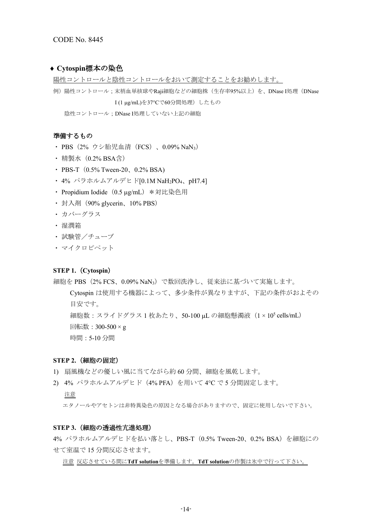#### ◆ Cytospin標本の染色

陽性コントロールと陰性コントロールをおいて測定することをお勧めします。

```
例) 陽性コントロール;末梢血単核球やRaji細胞などの細胞株(生存率95%以上)を、DNase I処理(DNase
  I (1 µg/mL)を37°Cで60分間処理)したもの
```
陰性コントロール;DNase I処理していない上記の細胞

#### 準備するもの

- PBS (2% ウシ胎児血清 (FCS) 、0.09% NaN<sub>3</sub>)
- 精製水 (0.2% BSA含)
- PBS-T $(0.5\%$  Tween-20,  $0.2\%$  BSA)
- 4% パラホルムアルデヒド[0.1M NaH<sub>2</sub>PO<sub>4</sub>、pH7.4]
- Propidium Iodide (0.5 µg/mL) \*対比染色用
- 封入剤 (90% glycerin、10% PBS)
- ・ カバーグラス
- ・ 湿潤箱
- ・ 試験管/チューブ
- ・ マイクロピペット

#### **STEP 1.**(**Cytospin**)

細胞を PBS(2% FCS、0.09% NaN3)で数回洗浄し、従来法に基づいて実施します。

Cytospin は使用する機器によって、多少条件が異なりますが、下記の条件がおよその 目安です。

細胞数:スライドグラス 1 枚あたり、50-100 µL の細胞懸濁液(1 × 105 cells/mL)

- 回転数:300-500 × g
- 時間:5-10 分間

#### **STEP 2.**(細胞の固定)

- 1) 扇風機などの優しい風に当てながら約 60 分間、細胞を風乾します。
- 2) 4% パラホルムアルデヒド (4% PFA) を用いて 4℃ で5 分間固定します。

#### 注意

エタノールやアセトンは非特異染色の原因となる場合がありますので、固定に使用しないで下さい。

#### **STEP 3.**(細胞の透過性亢進処理)

4% パラホルムアルデヒドを払い落とし、PBS-T(0.5% Tween-20、0.2% BSA)を細胞にの せて室温で 15 分間反応させます。

注意 反応させている間に**TdT solution**を準備します。**TdT solution**の作製は氷中で行って下さい。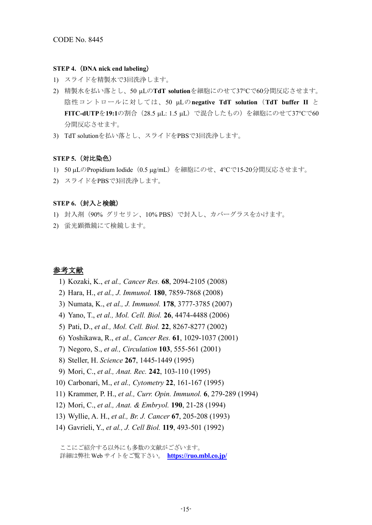#### **STEP 4.**(**DNA nick end labeling**)

- 1) スライドを精製水で3回洗浄します。
- 2) 精製水を払い落とし、50 µLの**TdT solution**を細胞にのせて37°Cで60分間反応させます。 陰性コントロールに対しては、50 µLの**negative TdT solution**(**TdT buffer II** と **FITC-dUTP**を**19:1**の割合(28.5 µL: 1.5 µL)で混合したもの)を細胞にのせて37°Cで60 分間反応させます。
- 3) TdT solutionを払い落とし、スライドをPBSで3回洗浄します。

#### **STEP 5.**(対比染色)

- 1) 50 µLのPropidium Iodide(0.5 µg/mL)を細胞にのせ、4°Cで15-20分間反応させます。
- 2) スライドをPBSで3回洗浄します。

#### **STEP 6.**(封入と検鏡)

- 1) 封入剤(90% グリセリン、10% PBS)で封入し、カバーグラスをかけます。
- 2) 蛍光顕微鏡にて検鏡します。

#### 参考文献

- 1) Kozaki, K., *et al., Cancer Res.* **68**, 2094-2105 (2008)
- 2) Hara, H., *et al., J. Immunol.* **180**, 7859-7868 (2008)
- 3) Numata, K., *et al., J. Immunol.* **178**, 3777-3785 (2007)
- 4) Yano, T., *et al., Mol. Cell. Biol.* **26**, 4474-4488 (2006)
- 5) Pati, D., *et al., Mol. Cell. Biol.* **22**, 8267-8277 (2002)
- 6) Yoshikawa, R., *et al., Cancer Res.* **61**, 1029-1037 (2001)
- 7) Negoro, S., *et al., Circulation* **103**, 555-561 (2001)
- 8) Steller, H. *Science* **267**, 1445-1449 (1995)
- 9) Mori, C., *et al., Anat. Rec.* **242**, 103-110 (1995)
- 10) Carbonari, M., *et al., Cytometry* **22**, 161-167 (1995)
- 11) Krammer, P. H., *et al., Curr. Opin. Immunol.* **6**, 279-289 (1994)
- 12) Mori, C., *et al., Anat. & Embryol.* **190**, 21-28 (1994)
- 13) Wyllie, A. H., *et al., Br. J. Cancer* **67**, 205-208 (1993)
- 14) Gavrieli, Y., *et al., J. Cell Biol.* **119**, 493-501 (1992)

ここにご紹介する以外にも多数の文献がございます。